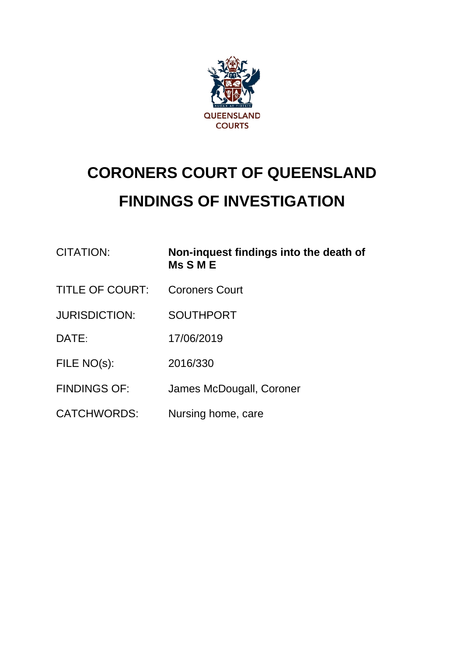

# **CORONERS COURT OF QUEENSLAND FINDINGS OF INVESTIGATION**

| <b>CITATION:</b>       | Non-inquest findings into the death of<br><b>Ms S M E</b> |
|------------------------|-----------------------------------------------------------|
| <b>TITLE OF COURT:</b> | <b>Coroners Court</b>                                     |
| <b>JURISDICTION:</b>   | <b>SOUTHPORT</b>                                          |
| DATE:                  | 17/06/2019                                                |
| FILE NO(s):            | 2016/330                                                  |
| <b>FINDINGS OF:</b>    | James McDougall, Coroner                                  |
| <b>CATCHWORDS:</b>     | Nursing home, care                                        |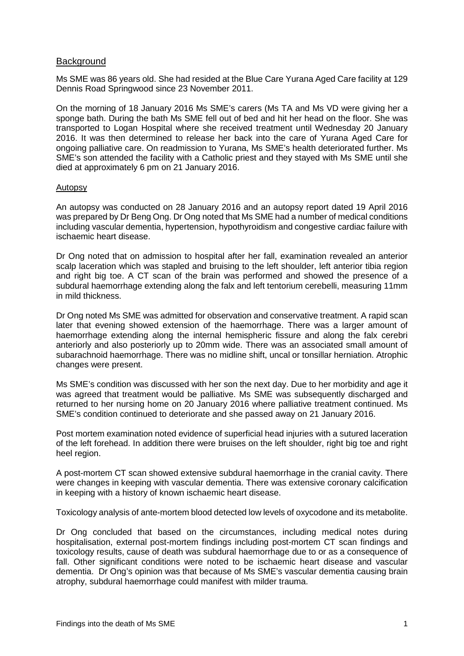## **Background**

Ms SME was 86 years old. She had resided at the Blue Care Yurana Aged Care facility at 129 Dennis Road Springwood since 23 November 2011.

On the morning of 18 January 2016 Ms SME's carers (Ms TA and Ms VD were giving her a sponge bath. During the bath Ms SME fell out of bed and hit her head on the floor. She was transported to Logan Hospital where she received treatment until Wednesday 20 January 2016. It was then determined to release her back into the care of Yurana Aged Care for ongoing palliative care. On readmission to Yurana, Ms SME's health deteriorated further. Ms SME's son attended the facility with a Catholic priest and they stayed with Ms SME until she died at approximately 6 pm on 21 January 2016.

## Autopsy

An autopsy was conducted on 28 January 2016 and an autopsy report dated 19 April 2016 was prepared by Dr Beng Ong. Dr Ong noted that Ms SME had a number of medical conditions including vascular dementia, hypertension, hypothyroidism and congestive cardiac failure with ischaemic heart disease.

Dr Ong noted that on admission to hospital after her fall, examination revealed an anterior scalp laceration which was stapled and bruising to the left shoulder, left anterior tibia region and right big toe. A CT scan of the brain was performed and showed the presence of a subdural haemorrhage extending along the falx and left tentorium cerebelli, measuring 11mm in mild thickness.

Dr Ong noted Ms SME was admitted for observation and conservative treatment. A rapid scan later that evening showed extension of the haemorrhage. There was a larger amount of haemorrhage extending along the internal hemispheric fissure and along the falx cerebri anteriorly and also posteriorly up to 20mm wide. There was an associated small amount of subarachnoid haemorrhage. There was no midline shift, uncal or tonsillar herniation. Atrophic changes were present.

Ms SME's condition was discussed with her son the next day. Due to her morbidity and age it was agreed that treatment would be palliative. Ms SME was subsequently discharged and returned to her nursing home on 20 January 2016 where palliative treatment continued. Ms SME's condition continued to deteriorate and she passed away on 21 January 2016.

Post mortem examination noted evidence of superficial head injuries with a sutured laceration of the left forehead. In addition there were bruises on the left shoulder, right big toe and right heel region.

A post-mortem CT scan showed extensive subdural haemorrhage in the cranial cavity. There were changes in keeping with vascular dementia. There was extensive coronary calcification in keeping with a history of known ischaemic heart disease.

Toxicology analysis of ante-mortem blood detected low levels of oxycodone and its metabolite.

Dr Ong concluded that based on the circumstances, including medical notes during hospitalisation, external post-mortem findings including post-mortem CT scan findings and toxicology results, cause of death was subdural haemorrhage due to or as a consequence of fall. Other significant conditions were noted to be ischaemic heart disease and vascular dementia. Dr Ong's opinion was that because of Ms SME's vascular dementia causing brain atrophy, subdural haemorrhage could manifest with milder trauma.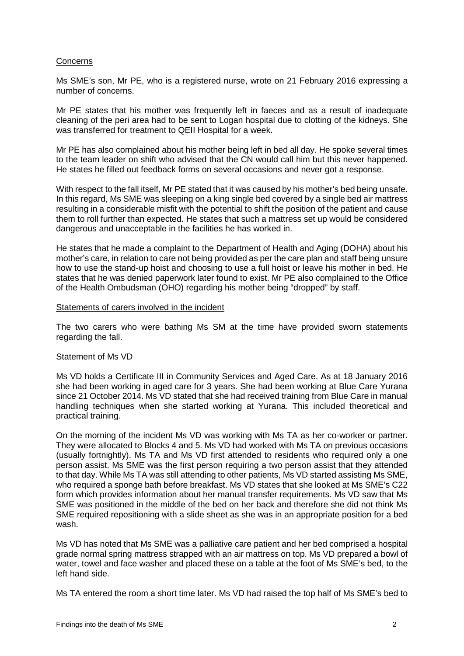## **Concerns**

Ms SME's son, Mr PE, who is a registered nurse, wrote on 21 February 2016 expressing a number of concerns.

Mr PE states that his mother was frequently left in faeces and as a result of inadequate cleaning of the peri area had to be sent to Logan hospital due to clotting of the kidneys. She was transferred for treatment to QEII Hospital for a week.

Mr PE has also complained about his mother being left in bed all day. He spoke several times to the team leader on shift who advised that the CN would call him but this never happened. He states he filled out feedback forms on several occasions and never got a response.

With respect to the fall itself, Mr PE stated that it was caused by his mother's bed being unsafe. In this regard, Ms SME was sleeping on a king single bed covered by a single bed air mattress resulting in a considerable misfit with the potential to shift the position of the patient and cause them to roll further than expected. He states that such a mattress set up would be considered dangerous and unacceptable in the facilities he has worked in.

He states that he made a complaint to the Department of Health and Aging (DOHA) about his mother's care, in relation to care not being provided as per the care plan and staff being unsure how to use the stand-up hoist and choosing to use a full hoist or leave his mother in bed. He states that he was denied paperwork later found to exist. Mr PE also complained to the Office of the Health Ombudsman (OHO) regarding his mother being "dropped" by staff.

## Statements of carers involved in the incident

The two carers who were bathing Ms SM at the time have provided sworn statements regarding the fall.

## Statement of Ms VD

Ms VD holds a Certificate III in Community Services and Aged Care. As at 18 January 2016 she had been working in aged care for 3 years. She had been working at Blue Care Yurana since 21 October 2014. Ms VD stated that she had received training from Blue Care in manual handling techniques when she started working at Yurana. This included theoretical and practical training.

On the morning of the incident Ms VD was working with Ms TA as her co-worker or partner. They were allocated to Blocks 4 and 5. Ms VD had worked with Ms TA on previous occasions (usually fortnightly). Ms TA and Ms VD first attended to residents who required only a one person assist. Ms SME was the first person requiring a two person assist that they attended to that day. While Ms TA was still attending to other patients, Ms VD started assisting Ms SME, who required a sponge bath before breakfast. Ms VD states that she looked at Ms SME's C22 form which provides information about her manual transfer requirements. Ms VD saw that Ms SME was positioned in the middle of the bed on her back and therefore she did not think Ms SME required repositioning with a slide sheet as she was in an appropriate position for a bed wash.

Ms VD has noted that Ms SME was a palliative care patient and her bed comprised a hospital grade normal spring mattress strapped with an air mattress on top. Ms VD prepared a bowl of water, towel and face washer and placed these on a table at the foot of Ms SME's bed, to the left hand side.

Ms TA entered the room a short time later. Ms VD had raised the top half of Ms SME's bed to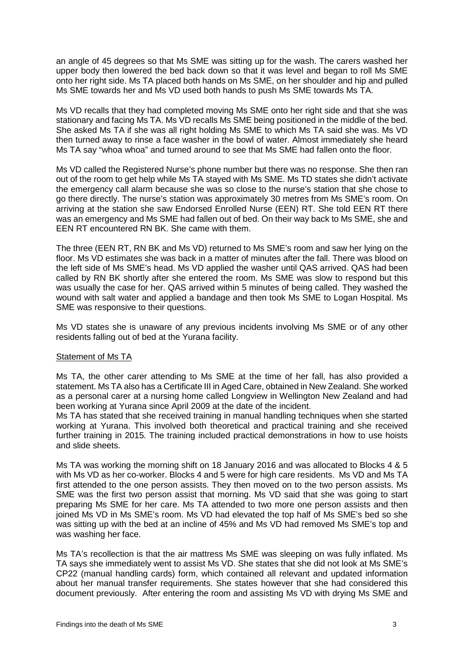an angle of 45 degrees so that Ms SME was sitting up for the wash. The carers washed her upper body then lowered the bed back down so that it was level and began to roll Ms SME onto her right side. Ms TA placed both hands on Ms SME, on her shoulder and hip and pulled Ms SME towards her and Ms VD used both hands to push Ms SME towards Ms TA.

Ms VD recalls that they had completed moving Ms SME onto her right side and that she was stationary and facing Ms TA. Ms VD recalls Ms SME being positioned in the middle of the bed. She asked Ms TA if she was all right holding Ms SME to which Ms TA said she was. Ms VD then turned away to rinse a face washer in the bowl of water. Almost immediately she heard Ms TA say "whoa whoa" and turned around to see that Ms SME had fallen onto the floor.

Ms VD called the Registered Nurse's phone number but there was no response. She then ran out of the room to get help while Ms TA stayed with Ms SME. Ms TD states she didn't activate the emergency call alarm because she was so close to the nurse's station that she chose to go there directly. The nurse's station was approximately 30 metres from Ms SME's room. On arriving at the station she saw Endorsed Enrolled Nurse (EEN) RT. She told EEN RT there was an emergency and Ms SME had fallen out of bed. On their way back to Ms SME, she and EEN RT encountered RN BK. She came with them.

The three (EEN RT, RN BK and Ms VD) returned to Ms SME's room and saw her lying on the floor. Ms VD estimates she was back in a matter of minutes after the fall. There was blood on the left side of Ms SME's head. Ms VD applied the washer until QAS arrived. QAS had been called by RN BK shortly after she entered the room. Ms SME was slow to respond but this was usually the case for her. QAS arrived within 5 minutes of being called. They washed the wound with salt water and applied a bandage and then took Ms SME to Logan Hospital. Ms SME was responsive to their questions.

Ms VD states she is unaware of any previous incidents involving Ms SME or of any other residents falling out of bed at the Yurana facility.

## Statement of Ms TA

Ms TA, the other carer attending to Ms SME at the time of her fall, has also provided a statement. Ms TA also has a Certificate III in Aged Care, obtained in New Zealand. She worked as a personal carer at a nursing home called Longview in Wellington New Zealand and had been working at Yurana since April 2009 at the date of the incident.

Ms TA has stated that she received training in manual handling techniques when she started working at Yurana. This involved both theoretical and practical training and she received further training in 2015. The training included practical demonstrations in how to use hoists and slide sheets.

Ms TA was working the morning shift on 18 January 2016 and was allocated to Blocks 4 & 5 with Ms VD as her co-worker. Blocks 4 and 5 were for high care residents. Ms VD and Ms TA first attended to the one person assists. They then moved on to the two person assists. Ms SME was the first two person assist that morning. Ms VD said that she was going to start preparing Ms SME for her care. Ms TA attended to two more one person assists and then joined Ms VD in Ms SME's room. Ms VD had elevated the top half of Ms SME's bed so she was sitting up with the bed at an incline of 45% and Ms VD had removed Ms SME's top and was washing her face.

Ms TA's recollection is that the air mattress Ms SME was sleeping on was fully inflated. Ms TA says she immediately went to assist Ms VD. She states that she did not look at Ms SME's CP22 (manual handling cards) form, which contained all relevant and updated information about her manual transfer requirements. She states however that she had considered this document previously. After entering the room and assisting Ms VD with drying Ms SME and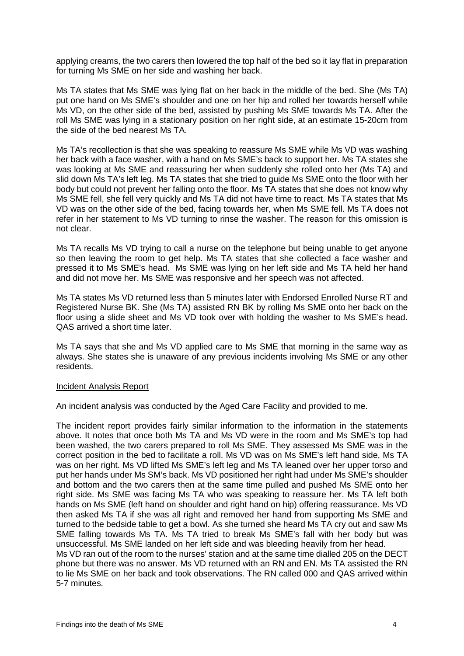applying creams, the two carers then lowered the top half of the bed so it lay flat in preparation for turning Ms SME on her side and washing her back.

Ms TA states that Ms SME was lying flat on her back in the middle of the bed. She (Ms TA) put one hand on Ms SME's shoulder and one on her hip and rolled her towards herself while Ms VD, on the other side of the bed, assisted by pushing Ms SME towards Ms TA. After the roll Ms SME was lying in a stationary position on her right side, at an estimate 15-20cm from the side of the bed nearest Ms TA.

Ms TA's recollection is that she was speaking to reassure Ms SME while Ms VD was washing her back with a face washer, with a hand on Ms SME's back to support her. Ms TA states she was looking at Ms SME and reassuring her when suddenly she rolled onto her (Ms TA) and slid down Ms TA's left leg. Ms TA states that she tried to guide Ms SME onto the floor with her body but could not prevent her falling onto the floor. Ms TA states that she does not know why Ms SME fell, she fell very quickly and Ms TA did not have time to react. Ms TA states that Ms VD was on the other side of the bed, facing towards her, when Ms SME fell. Ms TA does not refer in her statement to Ms VD turning to rinse the washer. The reason for this omission is not clear.

Ms TA recalls Ms VD trying to call a nurse on the telephone but being unable to get anyone so then leaving the room to get help. Ms TA states that she collected a face washer and pressed it to Ms SME's head. Ms SME was lying on her left side and Ms TA held her hand and did not move her. Ms SME was responsive and her speech was not affected.

Ms TA states Ms VD returned less than 5 minutes later with Endorsed Enrolled Nurse RT and Registered Nurse BK. She (Ms TA) assisted RN BK by rolling Ms SME onto her back on the floor using a slide sheet and Ms VD took over with holding the washer to Ms SME's head. QAS arrived a short time later.

Ms TA says that she and Ms VD applied care to Ms SME that morning in the same way as always. She states she is unaware of any previous incidents involving Ms SME or any other residents.

## Incident Analysis Report

An incident analysis was conducted by the Aged Care Facility and provided to me.

The incident report provides fairly similar information to the information in the statements above. It notes that once both Ms TA and Ms VD were in the room and Ms SME's top had been washed, the two carers prepared to roll Ms SME. They assessed Ms SME was in the correct position in the bed to facilitate a roll. Ms VD was on Ms SME's left hand side, Ms TA was on her right. Ms VD lifted Ms SME's left leg and Ms TA leaned over her upper torso and put her hands under Ms SM's back. Ms VD positioned her right had under Ms SME's shoulder and bottom and the two carers then at the same time pulled and pushed Ms SME onto her right side. Ms SME was facing Ms TA who was speaking to reassure her. Ms TA left both hands on Ms SME (left hand on shoulder and right hand on hip) offering reassurance. Ms VD then asked Ms TA if she was all right and removed her hand from supporting Ms SME and turned to the bedside table to get a bowl. As she turned she heard Ms TA cry out and saw Ms SME falling towards Ms TA. Ms TA tried to break Ms SME's fall with her body but was unsuccessful. Ms SME landed on her left side and was bleeding heavily from her head. Ms VD ran out of the room to the nurses' station and at the same time dialled 205 on the DECT phone but there was no answer. Ms VD returned with an RN and EN. Ms TA assisted the RN to lie Ms SME on her back and took observations. The RN called 000 and QAS arrived within

5-7 minutes.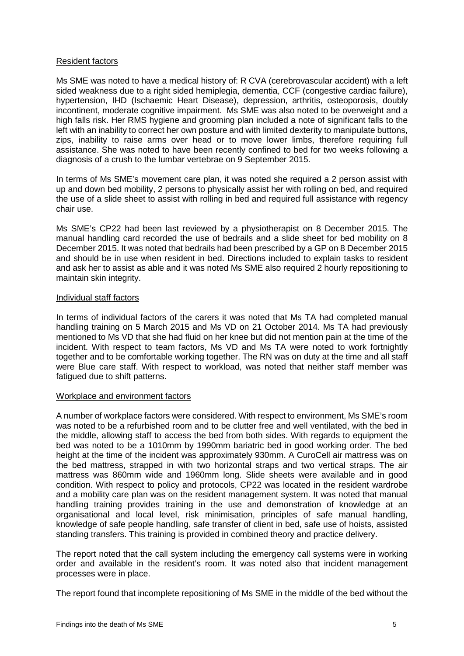## Resident factors

Ms SME was noted to have a medical history of: R CVA (cerebrovascular accident) with a left sided weakness due to a right sided hemiplegia, dementia, CCF (congestive cardiac failure), hypertension, IHD (Ischaemic Heart Disease), depression, arthritis, osteoporosis, doubly incontinent, moderate cognitive impairment. Ms SME was also noted to be overweight and a high falls risk. Her RMS hygiene and grooming plan included a note of significant falls to the left with an inability to correct her own posture and with limited dexterity to manipulate buttons, zips, inability to raise arms over head or to move lower limbs, therefore requiring full assistance. She was noted to have been recently confined to bed for two weeks following a diagnosis of a crush to the lumbar vertebrae on 9 September 2015.

In terms of Ms SME's movement care plan, it was noted she required a 2 person assist with up and down bed mobility, 2 persons to physically assist her with rolling on bed, and required the use of a slide sheet to assist with rolling in bed and required full assistance with regency chair use.

Ms SME's CP22 had been last reviewed by a physiotherapist on 8 December 2015. The manual handling card recorded the use of bedrails and a slide sheet for bed mobility on 8 December 2015. It was noted that bedrails had been prescribed by a GP on 8 December 2015 and should be in use when resident in bed. Directions included to explain tasks to resident and ask her to assist as able and it was noted Ms SME also required 2 hourly repositioning to maintain skin integrity.

## Individual staff factors

In terms of individual factors of the carers it was noted that Ms TA had completed manual handling training on 5 March 2015 and Ms VD on 21 October 2014. Ms TA had previously mentioned to Ms VD that she had fluid on her knee but did not mention pain at the time of the incident. With respect to team factors, Ms VD and Ms TA were noted to work fortnightly together and to be comfortable working together. The RN was on duty at the time and all staff were Blue care staff. With respect to workload, was noted that neither staff member was fatigued due to shift patterns.

## Workplace and environment factors

A number of workplace factors were considered. With respect to environment, Ms SME's room was noted to be a refurbished room and to be clutter free and well ventilated, with the bed in the middle, allowing staff to access the bed from both sides. With regards to equipment the bed was noted to be a 1010mm by 1990mm bariatric bed in good working order. The bed height at the time of the incident was approximately 930mm. A CuroCell air mattress was on the bed mattress, strapped in with two horizontal straps and two vertical straps. The air mattress was 860mm wide and 1960mm long. Slide sheets were available and in good condition. With respect to policy and protocols, CP22 was located in the resident wardrobe and a mobility care plan was on the resident management system. It was noted that manual handling training provides training in the use and demonstration of knowledge at an organisational and local level, risk minimisation, principles of safe manual handling, knowledge of safe people handling, safe transfer of client in bed, safe use of hoists, assisted standing transfers. This training is provided in combined theory and practice delivery.

The report noted that the call system including the emergency call systems were in working order and available in the resident's room. It was noted also that incident management processes were in place.

The report found that incomplete repositioning of Ms SME in the middle of the bed without the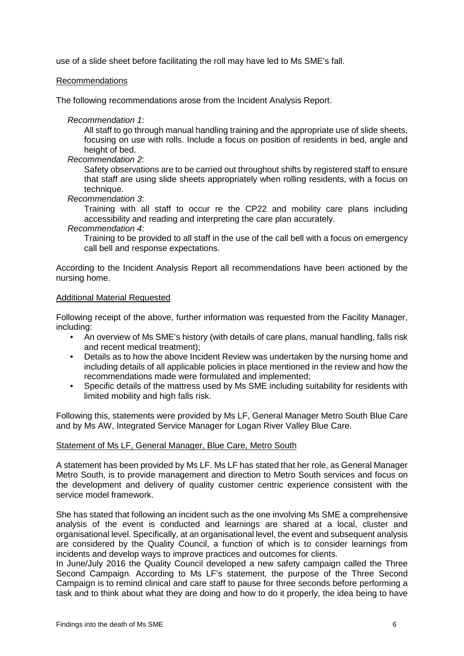use of a slide sheet before facilitating the roll may have led to Ms SME's fall.

## Recommendations

The following recommendations arose from the Incident Analysis Report.

*Recommendation 1*:

All staff to go through manual handling training and the appropriate use of slide sheets, focusing on use with rolls. Include a focus on position of residents in bed, angle and height of bed.

*Recommendation 2*:

Safety observations are to be carried out throughout shifts by registered staff to ensure that staff are using slide sheets appropriately when rolling residents, with a focus on technique.

*Recommendation 3*:

Training with all staff to occur re the CP22 and mobility care plans including accessibility and reading and interpreting the care plan accurately.

## *Recommendation 4*:

Training to be provided to all staff in the use of the call bell with a focus on emergency call bell and response expectations.

According to the Incident Analysis Report all recommendations have been actioned by the nursing home.

## Additional Material Requested

Following receipt of the above, further information was requested from the Facility Manager, including:

- An overview of Ms SME's history (with details of care plans, manual handling, falls risk and recent medical treatment);
- Details as to how the above Incident Review was undertaken by the nursing home and including details of all applicable policies in place mentioned in the review and how the recommendations made were formulated and implemented;
- Specific details of the mattress used by Ms SME including suitability for residents with limited mobility and high falls risk.

Following this, statements were provided by Ms LF, General Manager Metro South Blue Care and by Ms AW, Integrated Service Manager for Logan River Valley Blue Care.

## Statement of Ms LF, General Manager, Blue Care, Metro South

A statement has been provided by Ms LF. Ms LF has stated that her role, as General Manager Metro South, is to provide management and direction to Metro South services and focus on the development and delivery of quality customer centric experience consistent with the service model framework.

She has stated that following an incident such as the one involving Ms SME a comprehensive analysis of the event is conducted and learnings are shared at a local, cluster and organisational level. Specifically, at an organisational level, the event and subsequent analysis are considered by the Quality Council, a function of which is to consider learnings from incidents and develop ways to improve practices and outcomes for clients.

In June/July 2016 the Quality Council developed a new safety campaign called the Three Second Campaign. According to Ms LF's statement, the purpose of the Three Second Campaign is to remind clinical and care staff to pause for three seconds before performing a task and to think about what they are doing and how to do it properly, the idea being to have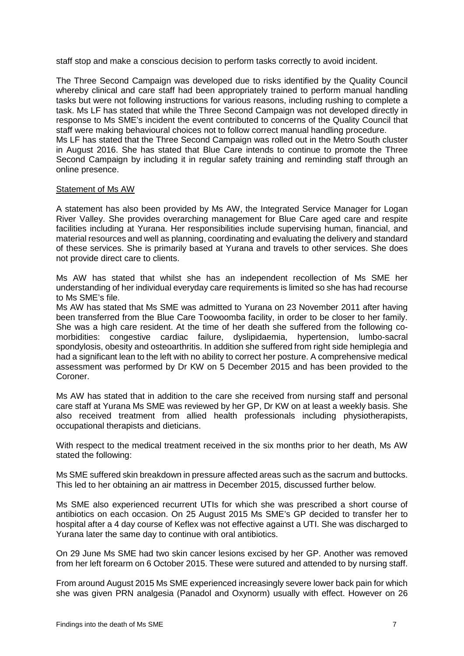staff stop and make a conscious decision to perform tasks correctly to avoid incident.

The Three Second Campaign was developed due to risks identified by the Quality Council whereby clinical and care staff had been appropriately trained to perform manual handling tasks but were not following instructions for various reasons, including rushing to complete a task. Ms LF has stated that while the Three Second Campaign was not developed directly in response to Ms SME's incident the event contributed to concerns of the Quality Council that staff were making behavioural choices not to follow correct manual handling procedure.

Ms LF has stated that the Three Second Campaign was rolled out in the Metro South cluster in August 2016. She has stated that Blue Care intends to continue to promote the Three Second Campaign by including it in regular safety training and reminding staff through an online presence.

## Statement of Ms AW

A statement has also been provided by Ms AW, the Integrated Service Manager for Logan River Valley. She provides overarching management for Blue Care aged care and respite facilities including at Yurana. Her responsibilities include supervising human, financial, and material resources and well as planning, coordinating and evaluating the delivery and standard of these services. She is primarily based at Yurana and travels to other services. She does not provide direct care to clients.

Ms AW has stated that whilst she has an independent recollection of Ms SME her understanding of her individual everyday care requirements is limited so she has had recourse to Ms SME's file.

Ms AW has stated that Ms SME was admitted to Yurana on 23 November 2011 after having been transferred from the Blue Care Toowoomba facility, in order to be closer to her family. She was a high care resident. At the time of her death she suffered from the following comorbidities: congestive cardiac failure, dyslipidaemia, hypertension, lumbo-sacral spondylosis, obesity and osteoarthritis. In addition she suffered from right side hemiplegia and had a significant lean to the left with no ability to correct her posture. A comprehensive medical assessment was performed by Dr KW on 5 December 2015 and has been provided to the Coroner.

Ms AW has stated that in addition to the care she received from nursing staff and personal care staff at Yurana Ms SME was reviewed by her GP, Dr KW on at least a weekly basis. She also received treatment from allied health professionals including physiotherapists, occupational therapists and dieticians.

With respect to the medical treatment received in the six months prior to her death, Ms AW stated the following:

Ms SME suffered skin breakdown in pressure affected areas such as the sacrum and buttocks. This led to her obtaining an air mattress in December 2015, discussed further below.

Ms SME also experienced recurrent UTIs for which she was prescribed a short course of antibiotics on each occasion. On 25 August 2015 Ms SME's GP decided to transfer her to hospital after a 4 day course of Keflex was not effective against a UTI. She was discharged to Yurana later the same day to continue with oral antibiotics.

On 29 June Ms SME had two skin cancer lesions excised by her GP. Another was removed from her left forearm on 6 October 2015. These were sutured and attended to by nursing staff.

From around August 2015 Ms SME experienced increasingly severe lower back pain for which she was given PRN analgesia (Panadol and Oxynorm) usually with effect. However on 26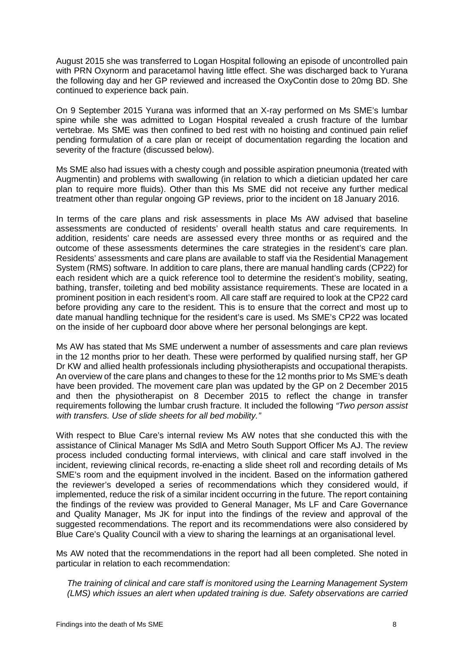August 2015 she was transferred to Logan Hospital following an episode of uncontrolled pain with PRN Oxynorm and paracetamol having little effect. She was discharged back to Yurana the following day and her GP reviewed and increased the OxyContin dose to 20mg BD. She continued to experience back pain.

On 9 September 2015 Yurana was informed that an X-ray performed on Ms SME's lumbar spine while she was admitted to Logan Hospital revealed a crush fracture of the lumbar vertebrae. Ms SME was then confined to bed rest with no hoisting and continued pain relief pending formulation of a care plan or receipt of documentation regarding the location and severity of the fracture (discussed below).

Ms SME also had issues with a chesty cough and possible aspiration pneumonia (treated with Augmentin) and problems with swallowing (in relation to which a dietician updated her care plan to require more fluids). Other than this Ms SME did not receive any further medical treatment other than regular ongoing GP reviews, prior to the incident on 18 January 2016.

In terms of the care plans and risk assessments in place Ms AW advised that baseline assessments are conducted of residents' overall health status and care requirements. In addition, residents' care needs are assessed every three months or as required and the outcome of these assessments determines the care strategies in the resident's care plan. Residents' assessments and care plans are available to staff via the Residential Management System (RMS) software. In addition to care plans, there are manual handling cards (CP22) for each resident which are a quick reference tool to determine the resident's mobility, seating, bathing, transfer, toileting and bed mobility assistance requirements. These are located in a prominent position in each resident's room. All care staff are required to look at the CP22 card before providing any care to the resident. This is to ensure that the correct and most up to date manual handling technique for the resident's care is used. Ms SME's CP22 was located on the inside of her cupboard door above where her personal belongings are kept.

Ms AW has stated that Ms SME underwent a number of assessments and care plan reviews in the 12 months prior to her death. These were performed by qualified nursing staff, her GP Dr KW and allied health professionals including physiotherapists and occupational therapists. An overview of the care plans and changes to these for the 12 months prior to Ms SME's death have been provided. The movement care plan was updated by the GP on 2 December 2015 and then the physiotherapist on 8 December 2015 to reflect the change in transfer requirements following the lumbar crush fracture. It included the following *"Two person assist with transfers. Use of slide sheets for all bed mobility."*

With respect to Blue Care's internal review Ms AW notes that she conducted this with the assistance of Clinical Manager Ms SdlA and Metro South Support Officer Ms AJ. The review process included conducting formal interviews, with clinical and care staff involved in the incident, reviewing clinical records, re-enacting a slide sheet roll and recording details of Ms SME's room and the equipment involved in the incident. Based on the information gathered the reviewer's developed a series of recommendations which they considered would, if implemented, reduce the risk of a similar incident occurring in the future. The report containing the findings of the review was provided to General Manager, Ms LF and Care Governance and Quality Manager, Ms JK for input into the findings of the review and approval of the suggested recommendations. The report and its recommendations were also considered by Blue Care's Quality Council with a view to sharing the learnings at an organisational level.

Ms AW noted that the recommendations in the report had all been completed. She noted in particular in relation to each recommendation:

*The training of clinical and care staff is monitored using the Learning Management System (LMS) which issues an alert when updated training is due. Safety observations are carried*